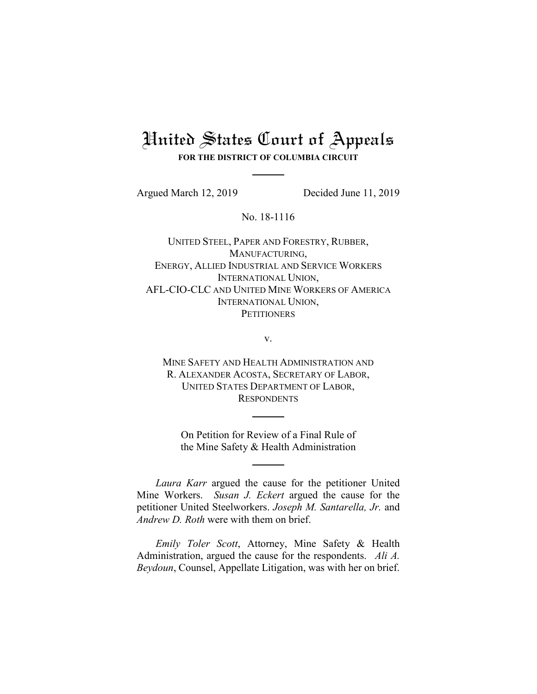# United States Court of Appeals **FOR THE DISTRICT OF COLUMBIA CIRCUIT**

Argued March 12, 2019 Decided June 11, 2019

No. 18-1116

UNITED STEEL, PAPER AND FORESTRY, RUBBER, MANUFACTURING, ENERGY, ALLIED INDUSTRIAL AND SERVICE WORKERS INTERNATIONAL UNION, AFL-CIO-CLC AND UNITED MINE WORKERS OF AMERICA INTERNATIONAL UNION, **PETITIONERS** 

v.

MINE SAFETY AND HEALTH ADMINISTRATION AND R. ALEXANDER ACOSTA, SECRETARY OF LABOR, UNITED STATES DEPARTMENT OF LABOR, **RESPONDENTS** 

On Petition for Review of a Final Rule of the Mine Safety & Health Administration

*Laura Karr* argued the cause for the petitioner United Mine Workers. *Susan J. Eckert* argued the cause for the petitioner United Steelworkers. *Joseph M. Santarella, Jr.* and *Andrew D. Roth* were with them on brief.

*Emily Toler Scott*, Attorney, Mine Safety & Health Administration, argued the cause for the respondents. *Ali A. Beydoun*, Counsel, Appellate Litigation, was with her on brief.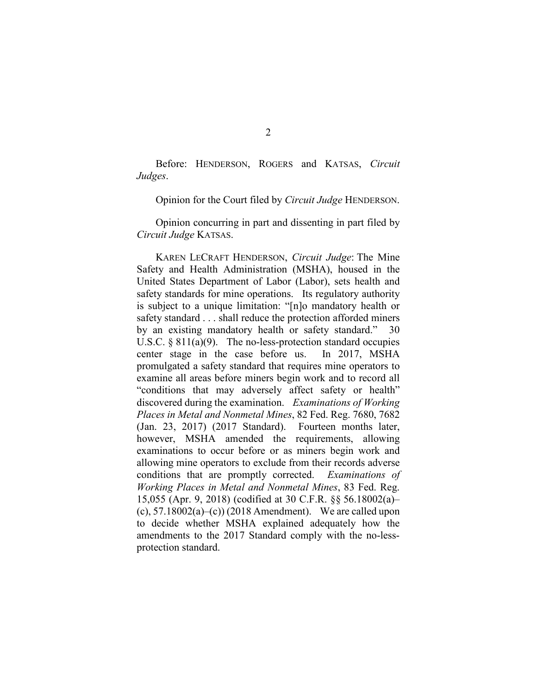Before: HENDERSON, ROGERS and KATSAS, *Circuit Judges*.

Opinion for the Court filed by *Circuit Judge* HENDERSON.

Opinion concurring in part and dissenting in part filed by *Circuit Judge* KATSAS.

KAREN LECRAFT HENDERSON, *Circuit Judge*: The Mine Safety and Health Administration (MSHA), housed in the United States Department of Labor (Labor), sets health and safety standards for mine operations. Its regulatory authority is subject to a unique limitation: "[n]o mandatory health or safety standard . . . shall reduce the protection afforded miners by an existing mandatory health or safety standard." 30 U.S.C. § 811(a)(9). The no-less-protection standard occupies center stage in the case before us. In 2017, MSHA promulgated a safety standard that requires mine operators to examine all areas before miners begin work and to record all "conditions that may adversely affect safety or health" discovered during the examination. *Examinations of Working Places in Metal and Nonmetal Mines*, 82 Fed. Reg. 7680, 7682 (Jan. 23, 2017) (2017 Standard). Fourteen months later, however, MSHA amended the requirements, allowing examinations to occur before or as miners begin work and allowing mine operators to exclude from their records adverse conditions that are promptly corrected. *Examinations of Working Places in Metal and Nonmetal Mines*, 83 Fed. Reg. 15,055 (Apr. 9, 2018) (codified at 30 C.F.R. §§ 56.18002(a)– (c),  $57.18002(a)$ –(c)) (2018 Amendment). We are called upon to decide whether MSHA explained adequately how the amendments to the 2017 Standard comply with the no-lessprotection standard.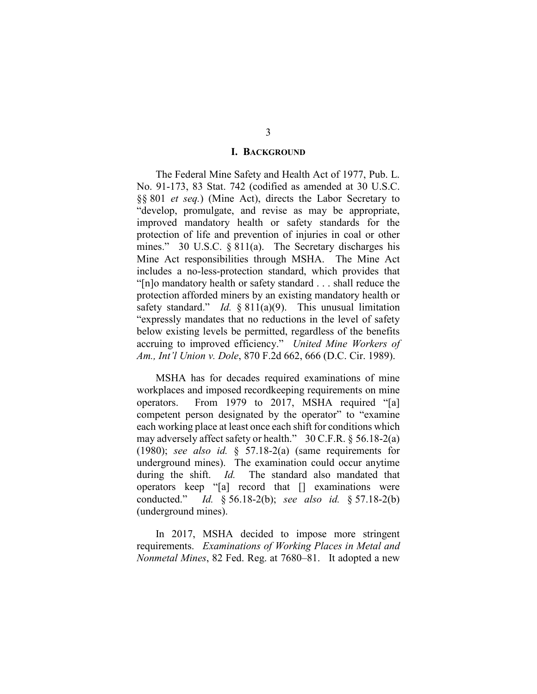### **I. BACKGROUND**

The Federal Mine Safety and Health Act of 1977, Pub. L. No. 91-173, 83 Stat. 742 (codified as amended at 30 U.S.C. §§ 801 *et seq.*) (Mine Act), directs the Labor Secretary to "develop, promulgate, and revise as may be appropriate, improved mandatory health or safety standards for the protection of life and prevention of injuries in coal or other mines." 30 U.S.C.  $\S 811(a)$ . The Secretary discharges his Mine Act responsibilities through MSHA. The Mine Act includes a no-less-protection standard, which provides that "[n]o mandatory health or safety standard . . . shall reduce the protection afforded miners by an existing mandatory health or safety standard." *Id.* § 811(a)(9). This unusual limitation "expressly mandates that no reductions in the level of safety below existing levels be permitted, regardless of the benefits accruing to improved efficiency." *United Mine Workers of Am., Int'l Union v. Dole*, 870 F.2d 662, 666 (D.C. Cir. 1989).

MSHA has for decades required examinations of mine workplaces and imposed recordkeeping requirements on mine operators. From 1979 to 2017, MSHA required "[a] competent person designated by the operator" to "examine each working place at least once each shift for conditions which may adversely affect safety or health." 30 C.F.R. § 56.18-2(a) (1980); *see also id.* § 57.18-2(a) (same requirements for underground mines). The examination could occur anytime during the shift. *Id.* The standard also mandated that operators keep "[a] record that [] examinations were conducted." *Id.* § 56.18-2(b); *see also id.* § 57.18-2(b) (underground mines).

In 2017, MSHA decided to impose more stringent requirements. *Examinations of Working Places in Metal and Nonmetal Mines*, 82 Fed. Reg. at 7680–81. It adopted a new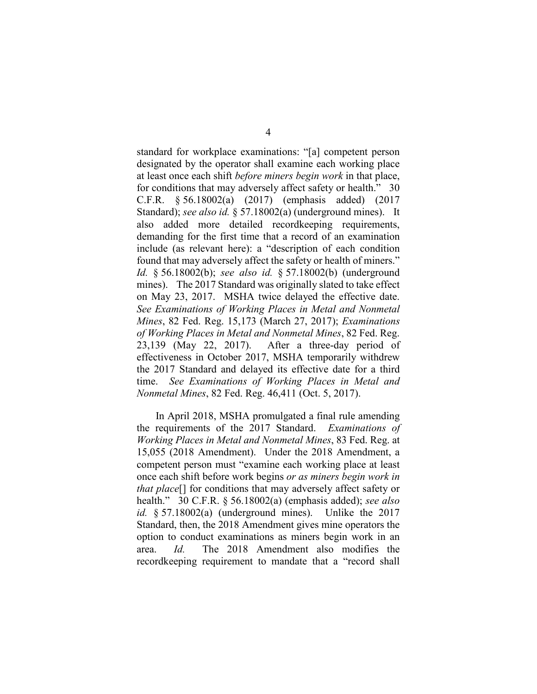standard for workplace examinations: "[a] competent person designated by the operator shall examine each working place at least once each shift *before miners begin work* in that place, for conditions that may adversely affect safety or health." 30 C.F.R. § 56.18002(a) (2017) (emphasis added) (2017 Standard); *see also id.* § 57.18002(a) (underground mines). It also added more detailed recordkeeping requirements, demanding for the first time that a record of an examination include (as relevant here): a "description of each condition found that may adversely affect the safety or health of miners." *Id.* § 56.18002(b); *see also id.* § 57.18002(b) (underground mines). The 2017 Standard was originally slated to take effect on May 23, 2017. MSHA twice delayed the effective date. *See Examinations of Working Places in Metal and Nonmetal Mines*, 82 Fed. Reg. 15,173 (March 27, 2017); *Examinations of Working Places in Metal and Nonmetal Mines*, 82 Fed. Reg. 23,139 (May 22, 2017). After a three-day period of effectiveness in October 2017, MSHA temporarily withdrew the 2017 Standard and delayed its effective date for a third time. *See Examinations of Working Places in Metal and Nonmetal Mines*, 82 Fed. Reg. 46,411 (Oct. 5, 2017).

In April 2018, MSHA promulgated a final rule amending the requirements of the 2017 Standard. *Examinations of Working Places in Metal and Nonmetal Mines*, 83 Fed. Reg. at 15,055 (2018 Amendment). Under the 2018 Amendment, a competent person must "examine each working place at least once each shift before work begins *or as miners begin work in that place*[] for conditions that may adversely affect safety or health." 30 C.F.R. § 56.18002(a) (emphasis added); *see also id.* § 57.18002(a) (underground mines). Unlike the 2017 Standard, then, the 2018 Amendment gives mine operators the option to conduct examinations as miners begin work in an area. *Id.* The 2018 Amendment also modifies the recordkeeping requirement to mandate that a "record shall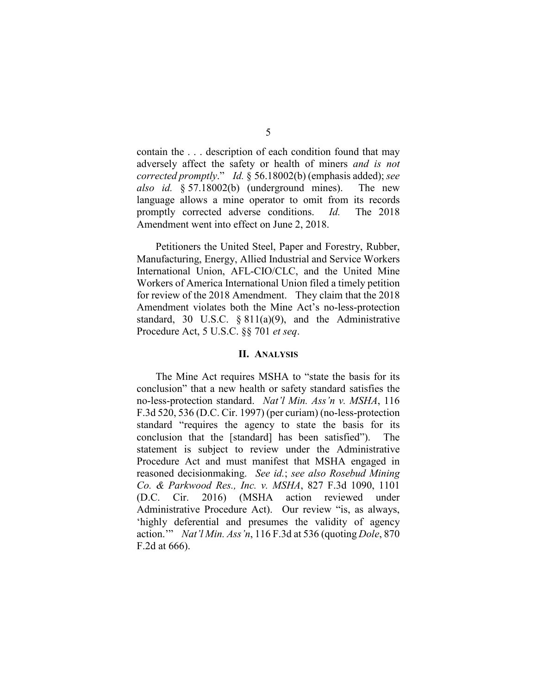contain the . . . description of each condition found that may adversely affect the safety or health of miners *and is not corrected promptly*." *Id.* § 56.18002(b) (emphasis added); *see also id.* § 57.18002(b) (underground mines). The new language allows a mine operator to omit from its records promptly corrected adverse conditions. *Id.* The 2018 Amendment went into effect on June 2, 2018.

Petitioners the United Steel, Paper and Forestry, Rubber, Manufacturing, Energy, Allied Industrial and Service Workers International Union, AFL-CIO/CLC, and the United Mine Workers of America International Union filed a timely petition for review of the 2018 Amendment. They claim that the 2018 Amendment violates both the Mine Act's no-less-protection standard, 30 U.S.C. § 811(a)(9), and the Administrative Procedure Act, 5 U.S.C. §§ 701 *et seq*.

### **II. ANALYSIS**

The Mine Act requires MSHA to "state the basis for its conclusion" that a new health or safety standard satisfies the no-less-protection standard. *Nat'l Min. Ass'n v. MSHA*, 116 F.3d 520, 536 (D.C. Cir. 1997) (per curiam) (no-less-protection standard "requires the agency to state the basis for its conclusion that the [standard] has been satisfied"). The statement is subject to review under the Administrative Procedure Act and must manifest that MSHA engaged in reasoned decisionmaking. *See id.*; *see also Rosebud Mining Co. & Parkwood Res., Inc. v. MSHA*, 827 F.3d 1090, 1101 (D.C. Cir. 2016) (MSHA action reviewed under Administrative Procedure Act). Our review "is, as always, 'highly deferential and presumes the validity of agency action.'" *Nat'l Min. Ass'n*, 116 F.3d at 536 (quoting *Dole*, 870 F.2d at 666).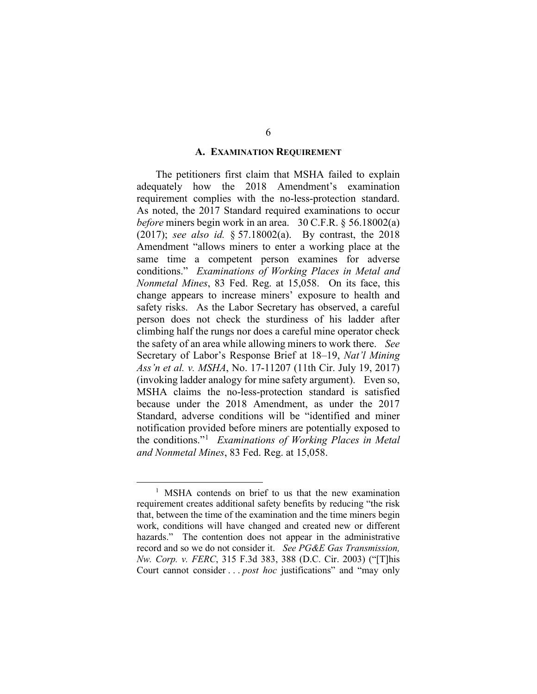### **A. EXAMINATION REQUIREMENT**

The petitioners first claim that MSHA failed to explain adequately how the 2018 Amendment's examination requirement complies with the no-less-protection standard. As noted, the 2017 Standard required examinations to occur *before* miners begin work in an area. 30 C.F.R. § 56.18002(a) (2017); *see also id.* § 57.18002(a). By contrast, the 2018 Amendment "allows miners to enter a working place at the same time a competent person examines for adverse conditions." *Examinations of Working Places in Metal and Nonmetal Mines*, 83 Fed. Reg. at 15,058. On its face, this change appears to increase miners' exposure to health and safety risks. As the Labor Secretary has observed, a careful person does not check the sturdiness of his ladder after climbing half the rungs nor does a careful mine operator check the safety of an area while allowing miners to work there. *See* Secretary of Labor's Response Brief at 18–19, *Nat'l Mining Ass'n et al. v. MSHA*, No. 17-11207 (11th Cir. July 19, 2017) (invoking ladder analogy for mine safety argument). Even so, MSHA claims the no-less-protection standard is satisfied because under the 2018 Amendment, as under the 2017 Standard, adverse conditions will be "identified and miner notification provided before miners are potentially exposed to the conditions."[1](#page-5-0) *Examinations of Working Places in Metal and Nonmetal Mines*, 83 Fed. Reg. at 15,058.

<span id="page-5-0"></span><sup>&</sup>lt;sup>1</sup> MSHA contends on brief to us that the new examination requirement creates additional safety benefits by reducing "the risk that, between the time of the examination and the time miners begin work, conditions will have changed and created new or different hazards." The contention does not appear in the administrative record and so we do not consider it. *See PG&E Gas Transmission, Nw. Corp. v. FERC*, 315 F.3d 383, 388 (D.C. Cir. 2003) ("[T]his Court cannot consider . . . *post hoc* justifications" and "may only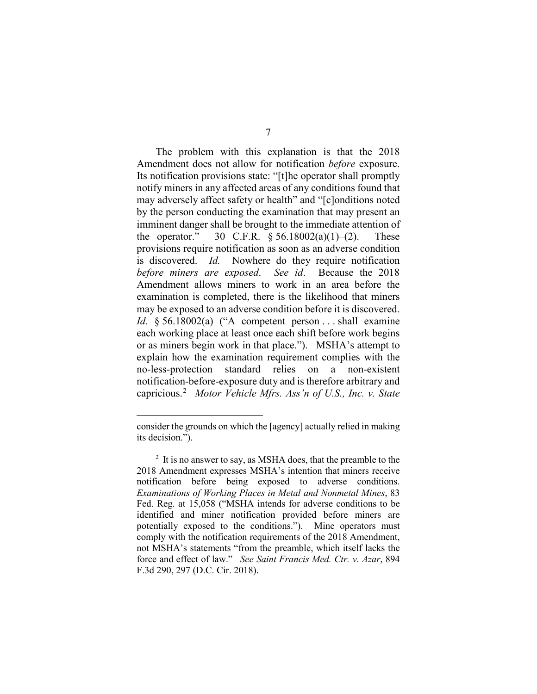The problem with this explanation is that the 2018 Amendment does not allow for notification *before* exposure. Its notification provisions state: "[t]he operator shall promptly notify miners in any affected areas of any conditions found that may adversely affect safety or health" and "[c]onditions noted by the person conducting the examination that may present an imminent danger shall be brought to the immediate attention of the operator." 30 C.F.R.  $\frac{6}{56.18002(a)(1)-(2)}$ . These provisions require notification as soon as an adverse condition is discovered. *Id.* Nowhere do they require notification *before miners are exposed*. *See id*. Because the 2018 Amendment allows miners to work in an area before the examination is completed, there is the likelihood that miners may be exposed to an adverse condition before it is discovered. *Id.* § 56.18002(a) ("A competent person . . . shall examine each working place at least once each shift before work begins or as miners begin work in that place."). MSHA's attempt to explain how the examination requirement complies with the no-less-protection standard relies on a non-existent notification-before-exposure duty and is therefore arbitrary and capricious.[2](#page-6-0) *Motor Vehicle Mfrs. Ass'n of U.S., Inc. v. State* 

 $\overline{a}$ 

consider the grounds on which the [agency] actually relied in making its decision.").

<span id="page-6-0"></span> $2 \text{ It is no answer to say, as MSHA does, that the preamble to the$ 2018 Amendment expresses MSHA's intention that miners receive notification before being exposed to adverse conditions. *Examinations of Working Places in Metal and Nonmetal Mines*, 83 Fed. Reg. at 15,058 ("MSHA intends for adverse conditions to be identified and miner notification provided before miners are potentially exposed to the conditions."). Mine operators must comply with the notification requirements of the 2018 Amendment, not MSHA's statements "from the preamble, which itself lacks the force and effect of law." *See Saint Francis Med. Ctr. v. Azar*, 894 F.3d 290, 297 (D.C. Cir. 2018).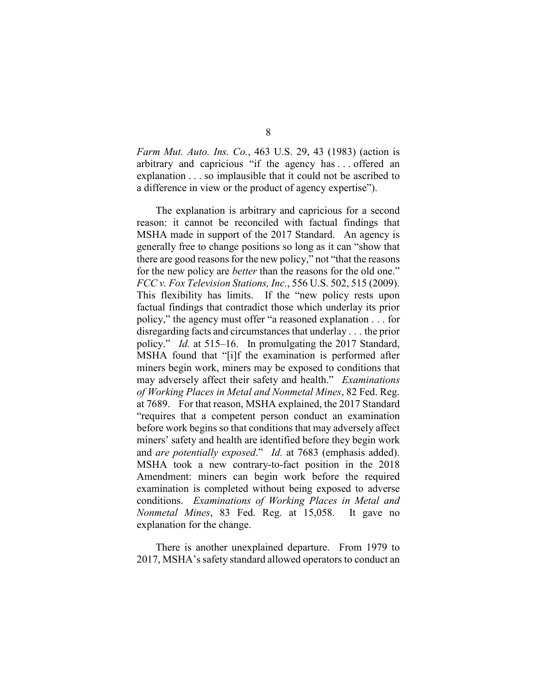*Farm Mut. Auto. Ins. Co.*, 463 U.S. 29, 43 (1983) (action is arbitrary and capricious "if the agency has . . . offered an explanation . . . so implausible that it could not be ascribed to a difference in view or the product of agency expertise").

The explanation is arbitrary and capricious for a second reason: it cannot be reconciled with factual findings that MSHA made in support of the 2017 Standard. An agency is generally free to change positions so long as it can "show that there are good reasons for the new policy," not "that the reasons for the new policy are *better* than the reasons for the old one." *FCC v. Fox Television Stations, Inc.*, 556 U.S. 502, 515 (2009). This flexibility has limits. If the "new policy rests upon factual findings that contradict those which underlay its prior policy," the agency must offer "a reasoned explanation . . . for disregarding facts and circumstances that underlay . . . the prior policy." *Id.* at 515–16. In promulgating the 2017 Standard, MSHA found that "[i]f the examination is performed after miners begin work, miners may be exposed to conditions that may adversely affect their safety and health." *Examinations of Working Places in Metal and Nonmetal Mines*, 82 Fed. Reg. at 7689. For that reason, MSHA explained, the 2017 Standard "requires that a competent person conduct an examination before work begins so that conditions that may adversely affect miners' safety and health are identified before they begin work and *are potentially exposed*." *Id.* at 7683 (emphasis added). MSHA took a new contrary-to-fact position in the 2018 Amendment: miners can begin work before the required examination is completed without being exposed to adverse conditions. *Examinations of Working Places in Metal and Nonmetal Mines*, 83 Fed. Reg. at 15,058. It gave no explanation for the change.

There is another unexplained departure. From 1979 to 2017, MSHA's safety standard allowed operators to conduct an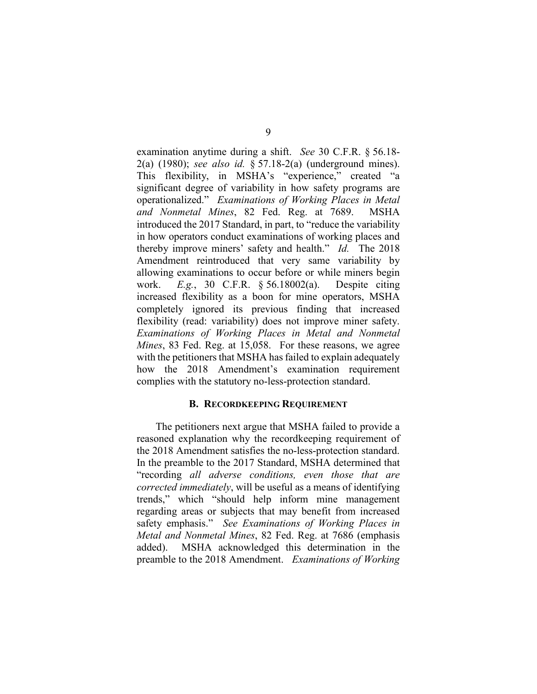examination anytime during a shift. *See* 30 C.F.R. § 56.18- 2(a) (1980); *see also id.* § 57.18-2(a) (underground mines). This flexibility, in MSHA's "experience," created "a significant degree of variability in how safety programs are operationalized." *Examinations of Working Places in Metal and Nonmetal Mines*, 82 Fed. Reg. at 7689. MSHA introduced the 2017 Standard, in part, to "reduce the variability in how operators conduct examinations of working places and thereby improve miners' safety and health." *Id.* The 2018 Amendment reintroduced that very same variability by allowing examinations to occur before or while miners begin work. *E.g.*, 30 C.F.R. § 56.18002(a). Despite citing increased flexibility as a boon for mine operators, MSHA completely ignored its previous finding that increased flexibility (read: variability) does not improve miner safety. *Examinations of Working Places in Metal and Nonmetal Mines*, 83 Fed. Reg. at 15,058. For these reasons, we agree with the petitioners that MSHA has failed to explain adequately how the 2018 Amendment's examination requirement complies with the statutory no-less-protection standard.

## **B. RECORDKEEPING REQUIREMENT**

The petitioners next argue that MSHA failed to provide a reasoned explanation why the recordkeeping requirement of the 2018 Amendment satisfies the no-less-protection standard. In the preamble to the 2017 Standard, MSHA determined that "recording *all adverse conditions, even those that are corrected immediately*, will be useful as a means of identifying trends," which "should help inform mine management regarding areas or subjects that may benefit from increased safety emphasis." *See Examinations of Working Places in Metal and Nonmetal Mines*, 82 Fed. Reg. at 7686 (emphasis added). MSHA acknowledged this determination in the preamble to the 2018 Amendment. *Examinations of Working*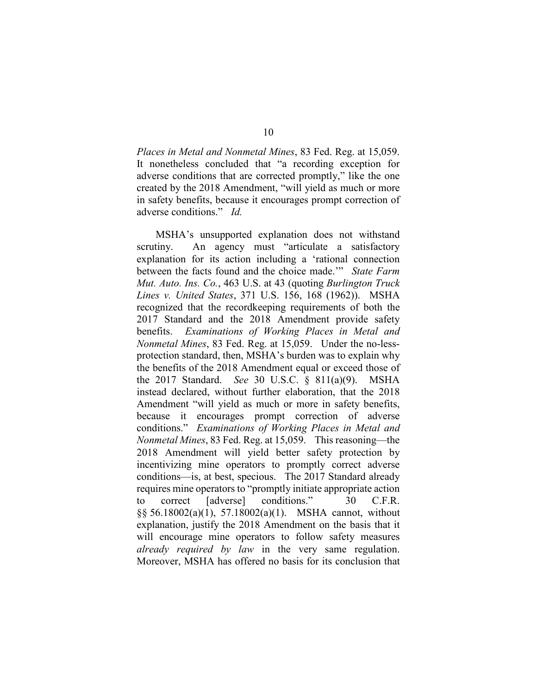*Places in Metal and Nonmetal Mines*, 83 Fed. Reg. at 15,059. It nonetheless concluded that "a recording exception for adverse conditions that are corrected promptly," like the one created by the 2018 Amendment, "will yield as much or more in safety benefits, because it encourages prompt correction of adverse conditions." *Id.*

MSHA's unsupported explanation does not withstand scrutiny. An agency must "articulate a satisfactory explanation for its action including a 'rational connection between the facts found and the choice made.'" *State Farm Mut. Auto. Ins. Co.*, 463 U.S. at 43 (quoting *Burlington Truck Lines v. United States*, 371 U.S. 156, 168 (1962)). MSHA recognized that the recordkeeping requirements of both the 2017 Standard and the 2018 Amendment provide safety benefits. *Examinations of Working Places in Metal and Nonmetal Mines*, 83 Fed. Reg. at 15,059. Under the no-lessprotection standard, then, MSHA's burden was to explain why the benefits of the 2018 Amendment equal or exceed those of the 2017 Standard. *See* 30 U.S.C. § 811(a)(9). MSHA instead declared, without further elaboration, that the 2018 Amendment "will yield as much or more in safety benefits, because it encourages prompt correction of adverse conditions." *Examinations of Working Places in Metal and Nonmetal Mines*, 83 Fed. Reg. at 15,059. This reasoning—the 2018 Amendment will yield better safety protection by incentivizing mine operators to promptly correct adverse conditions—is, at best, specious. The 2017 Standard already requires mine operators to "promptly initiate appropriate action to correct [adverse] conditions." 30 C.F.R. §§ 56.18002(a)(1), 57.18002(a)(1). MSHA cannot, without explanation, justify the 2018 Amendment on the basis that it will encourage mine operators to follow safety measures *already required by law* in the very same regulation. Moreover, MSHA has offered no basis for its conclusion that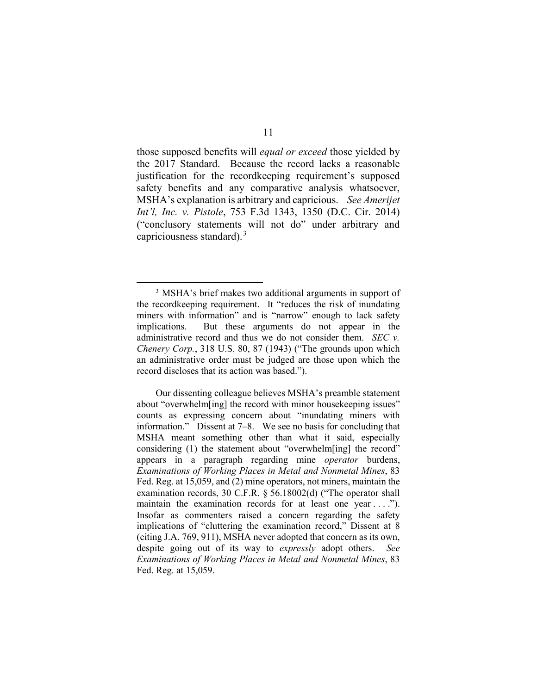those supposed benefits will *equal or exceed* those yielded by the 2017 Standard. Because the record lacks a reasonable justification for the recordkeeping requirement's supposed safety benefits and any comparative analysis whatsoever, MSHA's explanation is arbitrary and capricious. *See Amerijet Int'l, Inc. v. Pistole*, 753 F.3d 1343, 1350 (D.C. Cir. 2014) ("conclusory statements will not do" under arbitrary and capriciousness standard). $3$ 

<span id="page-10-0"></span> <sup>3</sup> MSHA's brief makes two additional arguments in support of the recordkeeping requirement. It "reduces the risk of inundating miners with information" and is "narrow" enough to lack safety implications. But these arguments do not appear in the administrative record and thus we do not consider them. *SEC v. Chenery Corp.*, 318 U.S. 80, 87 (1943) ("The grounds upon which an administrative order must be judged are those upon which the record discloses that its action was based.").

Our dissenting colleague believes MSHA's preamble statement about "overwhelm[ing] the record with minor housekeeping issues" counts as expressing concern about "inundating miners with information." Dissent at 7–8. We see no basis for concluding that MSHA meant something other than what it said, especially considering (1) the statement about "overwhelm[ing] the record" appears in a paragraph regarding mine *operator* burdens, *Examinations of Working Places in Metal and Nonmetal Mines*, 83 Fed. Reg. at 15,059, and (2) mine operators, not miners, maintain the examination records, 30 C.F.R. § 56.18002(d) ("The operator shall maintain the examination records for at least one year ...."). Insofar as commenters raised a concern regarding the safety implications of "cluttering the examination record," Dissent at 8 (citing J.A. 769, 911), MSHA never adopted that concern as its own, despite going out of its way to *expressly* adopt others. *See Examinations of Working Places in Metal and Nonmetal Mines*, 83 Fed. Reg. at 15,059.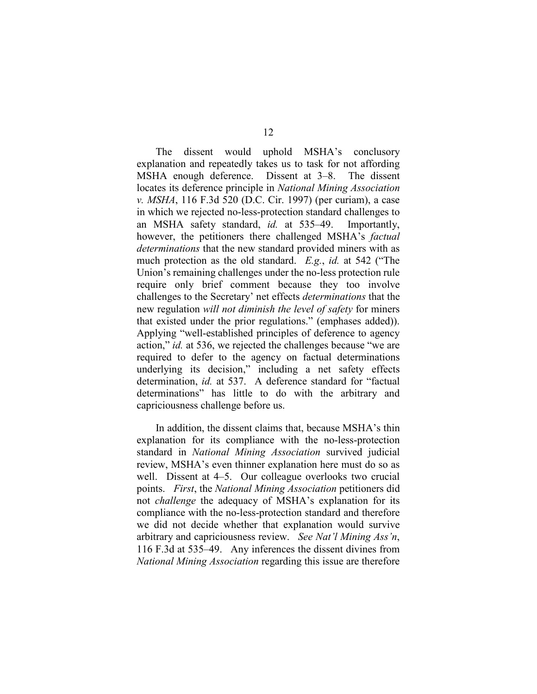The dissent would uphold MSHA's conclusory explanation and repeatedly takes us to task for not affording MSHA enough deference. Dissent at 3–8. The dissent locates its deference principle in *National Mining Association v. MSHA*, 116 F.3d 520 (D.C. Cir. 1997) (per curiam), a case in which we rejected no-less-protection standard challenges to an MSHA safety standard, *id.* at 535–49. Importantly, however, the petitioners there challenged MSHA's *factual determinations* that the new standard provided miners with as much protection as the old standard. *E.g.*, *id.* at 542 ("The Union's remaining challenges under the no-less protection rule require only brief comment because they too involve challenges to the Secretary' net effects *determinations* that the new regulation *will not diminish the level of safety* for miners that existed under the prior regulations." (emphases added)). Applying "well-established principles of deference to agency action," *id.* at 536, we rejected the challenges because "we are required to defer to the agency on factual determinations underlying its decision," including a net safety effects determination, *id.* at 537. A deference standard for "factual determinations" has little to do with the arbitrary and capriciousness challenge before us.

In addition, the dissent claims that, because MSHA's thin explanation for its compliance with the no-less-protection standard in *National Mining Association* survived judicial review, MSHA's even thinner explanation here must do so as well. Dissent at 4–5. Our colleague overlooks two crucial points. *First*, the *National Mining Association* petitioners did not *challenge* the adequacy of MSHA's explanation for its compliance with the no-less-protection standard and therefore we did not decide whether that explanation would survive arbitrary and capriciousness review. *See Nat'l Mining Ass'n*, 116 F.3d at 535–49. Any inferences the dissent divines from *National Mining Association* regarding this issue are therefore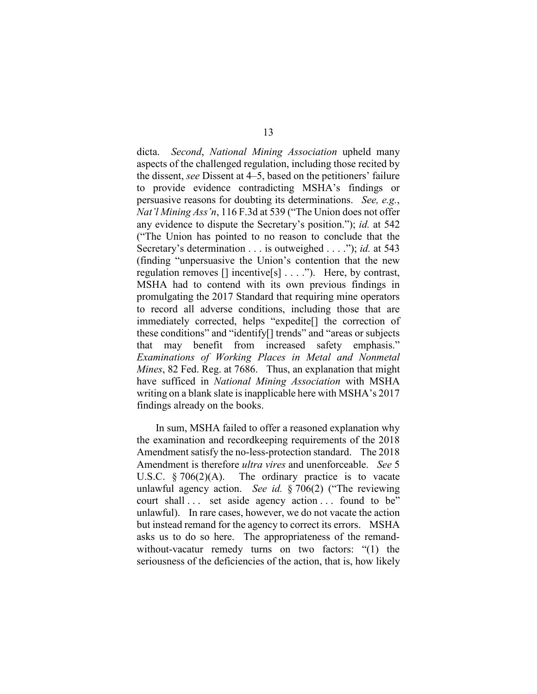dicta. *Second*, *National Mining Association* upheld many aspects of the challenged regulation, including those recited by the dissent, *see* Dissent at 4–5, based on the petitioners' failure to provide evidence contradicting MSHA's findings or persuasive reasons for doubting its determinations. *See, e.g.*, *Nat'l Mining Ass'n*, 116 F.3d at 539 ("The Union does not offer any evidence to dispute the Secretary's position."); *id.* at 542 ("The Union has pointed to no reason to conclude that the Secretary's determination . . . is outweighed . . . ."); *id.* at 543 (finding "unpersuasive the Union's contention that the new regulation removes [] incentive[s] . . . ."). Here, by contrast, MSHA had to contend with its own previous findings in promulgating the 2017 Standard that requiring mine operators to record all adverse conditions, including those that are immediately corrected, helps "expedite[] the correction of these conditions" and "identify[] trends" and "areas or subjects that may benefit from increased safety emphasis." *Examinations of Working Places in Metal and Nonmetal Mines*, 82 Fed. Reg. at 7686. Thus, an explanation that might have sufficed in *National Mining Association* with MSHA writing on a blank slate is inapplicable here with MSHA's 2017 findings already on the books.

In sum, MSHA failed to offer a reasoned explanation why the examination and recordkeeping requirements of the 2018 Amendment satisfy the no-less-protection standard. The 2018 Amendment is therefore *ultra vires* and unenforceable. *See* 5 U.S.C.  $\S 706(2)(A)$ . The ordinary practice is to vacate unlawful agency action. *See id.* § 706(2) ("The reviewing court shall ... set aside agency action ... found to be" unlawful). In rare cases, however, we do not vacate the action but instead remand for the agency to correct its errors. MSHA asks us to do so here. The appropriateness of the remandwithout-vacatur remedy turns on two factors: "(1) the seriousness of the deficiencies of the action, that is, how likely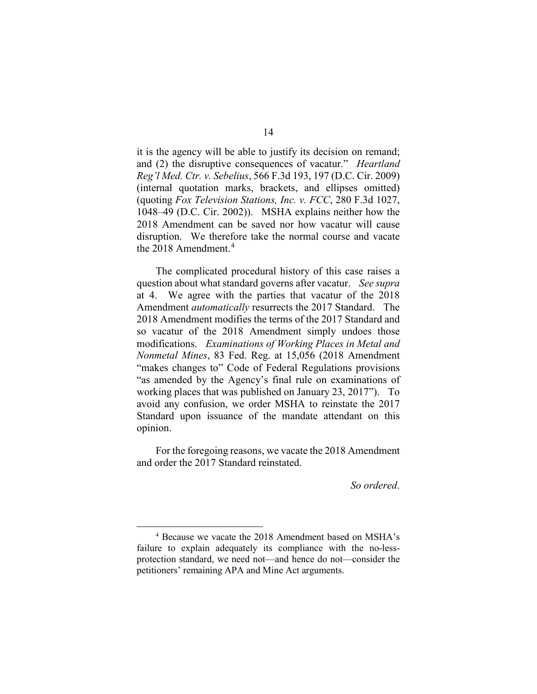it is the agency will be able to justify its decision on remand; and (2) the disruptive consequences of vacatur." *Heartland Reg'l Med. Ctr. v. Sebelius*, 566 F.3d 193, 197 (D.C. Cir. 2009) (internal quotation marks, brackets, and ellipses omitted) (quoting *Fox Television Stations, Inc. v. FCC*, 280 F.3d 1027, 1048–49 (D.C. Cir. 2002)). MSHA explains neither how the 2018 Amendment can be saved nor how vacatur will cause disruption. We therefore take the normal course and vacate the 2018 Amendment.<sup>[4](#page-13-0)</sup>

The complicated procedural history of this case raises a question about what standard governs after vacatur. *See supra* at 4. We agree with the parties that vacatur of the 2018 Amendment *automatically* resurrects the 2017 Standard. The 2018 Amendment modifies the terms of the 2017 Standard and so vacatur of the 2018 Amendment simply undoes those modifications. *Examinations of Working Places in Metal and Nonmetal Mines*, 83 Fed. Reg. at 15,056 (2018 Amendment "makes changes to" Code of Federal Regulations provisions "as amended by the Agency's final rule on examinations of working places that was published on January 23, 2017"). To avoid any confusion, we order MSHA to reinstate the 2017 Standard upon issuance of the mandate attendant on this opinion.

For the foregoing reasons, we vacate the 2018 Amendment and order the 2017 Standard reinstated.

*So ordered*.

<span id="page-13-0"></span> <sup>4</sup> Because we vacate the 2018 Amendment based on MSHA's failure to explain adequately its compliance with the no-lessprotection standard, we need not—and hence do not—consider the petitioners' remaining APA and Mine Act arguments.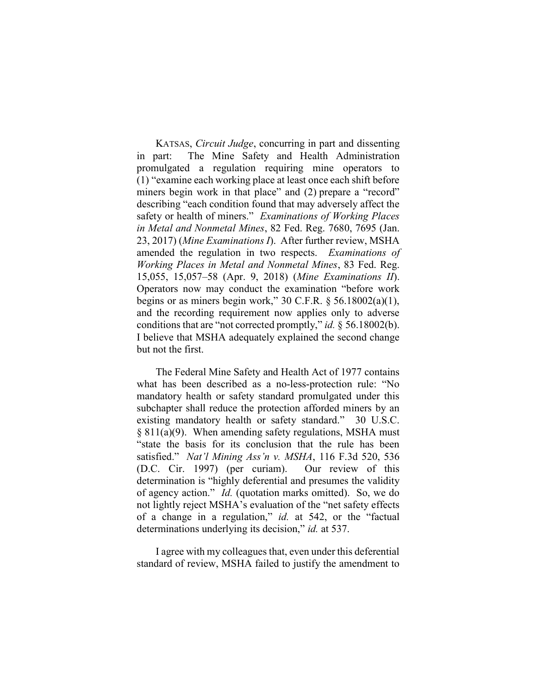KATSAS, Circuit Judge, concurring in part and dissenting in part: The Mine Safety and Health Administration promulgated a regulation requiring mine operators to (1) "examine each working place at least once each shift before miners begin work in that place" and (2) prepare a "record" describing "each condition found that may adversely affect the safety or health of miners." Examinations of Working Places in Metal and Nonmetal Mines, 82 Fed. Reg. 7680, 7695 (Jan. 23, 2017) (Mine Examinations I). After further review, MSHA amended the regulation in two respects. Examinations of Working Places in Metal and Nonmetal Mines, 83 Fed. Reg. 15,055, 15,057–58 (Apr. 9, 2018) (Mine Examinations II). Operators now may conduct the examination "before work begins or as miners begin work," 30 C.F.R.  $\S$  56.18002(a)(1), and the recording requirement now applies only to adverse conditions that are "not corrected promptly," id. § 56.18002(b). I believe that MSHA adequately explained the second change but not the first.

The Federal Mine Safety and Health Act of 1977 contains what has been described as a no-less-protection rule: "No mandatory health or safety standard promulgated under this subchapter shall reduce the protection afforded miners by an existing mandatory health or safety standard." 30 U.S.C. § 811(a)(9). When amending safety regulations, MSHA must "state the basis for its conclusion that the rule has been satisfied." Nat'l Mining Ass'n v. MSHA, 116 F.3d 520, 536 (D.C. Cir. 1997) (per curiam). Our review of this determination is "highly deferential and presumes the validity of agency action." Id. (quotation marks omitted). So, we do not lightly reject MSHA's evaluation of the "net safety effects of a change in a regulation," id. at 542, or the "factual determinations underlying its decision," id. at 537.

I agree with my colleagues that, even under this deferential standard of review, MSHA failed to justify the amendment to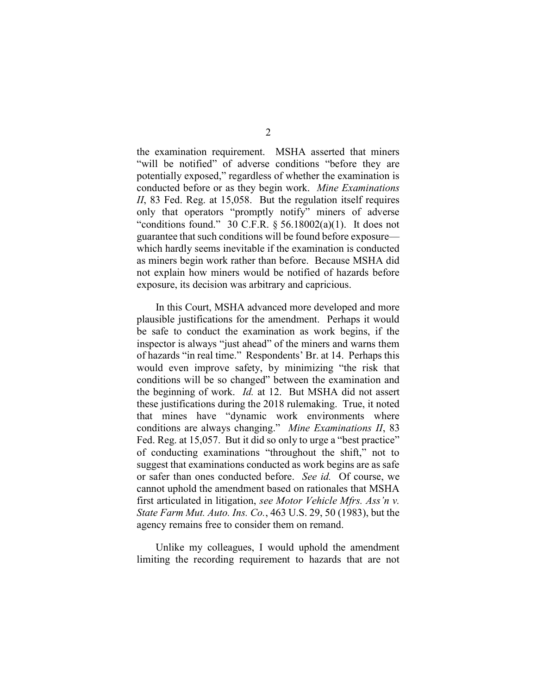the examination requirement. MSHA asserted that miners "will be notified" of adverse conditions "before they are potentially exposed," regardless of whether the examination is conducted before or as they begin work. Mine Examinations II, 83 Fed. Reg. at 15,058. But the regulation itself requires only that operators "promptly notify" miners of adverse "conditions found." 30 C.F.R.  $\S$  56.18002(a)(1). It does not guarantee that such conditions will be found before exposure which hardly seems inevitable if the examination is conducted as miners begin work rather than before. Because MSHA did not explain how miners would be notified of hazards before exposure, its decision was arbitrary and capricious.

In this Court, MSHA advanced more developed and more plausible justifications for the amendment. Perhaps it would be safe to conduct the examination as work begins, if the inspector is always "just ahead" of the miners and warns them of hazards "in real time." Respondents' Br. at 14. Perhaps this would even improve safety, by minimizing "the risk that conditions will be so changed" between the examination and the beginning of work. Id. at 12. But MSHA did not assert these justifications during the 2018 rulemaking. True, it noted that mines have "dynamic work environments where conditions are always changing." Mine Examinations II, 83 Fed. Reg. at 15,057. But it did so only to urge a "best practice" of conducting examinations "throughout the shift," not to suggest that examinations conducted as work begins are as safe or safer than ones conducted before. See id. Of course, we cannot uphold the amendment based on rationales that MSHA first articulated in litigation, see Motor Vehicle Mfrs. Ass'n v. State Farm Mut. Auto. Ins. Co., 463 U.S. 29, 50 (1983), but the agency remains free to consider them on remand.

Unlike my colleagues, I would uphold the amendment limiting the recording requirement to hazards that are not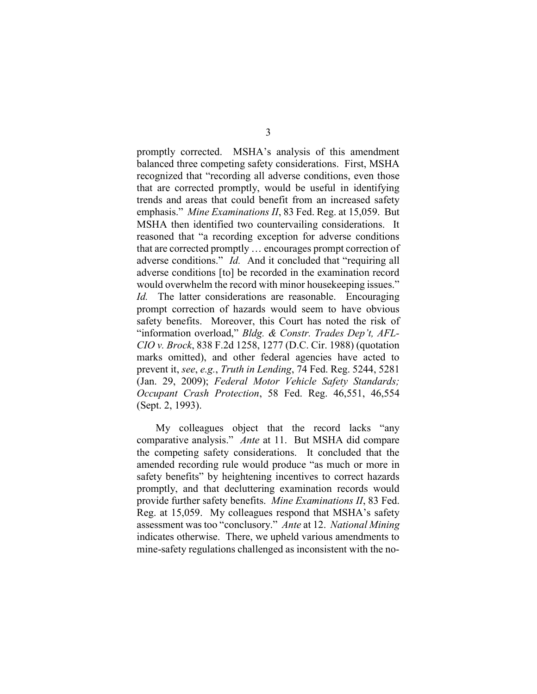promptly corrected. MSHA's analysis of this amendment balanced three competing safety considerations. First, MSHA recognized that "recording all adverse conditions, even those that are corrected promptly, would be useful in identifying trends and areas that could benefit from an increased safety emphasis." Mine Examinations II, 83 Fed. Reg. at 15,059. But MSHA then identified two countervailing considerations. It reasoned that "a recording exception for adverse conditions that are corrected promptly … encourages prompt correction of adverse conditions." *Id.* And it concluded that "requiring all adverse conditions [to] be recorded in the examination record would overwhelm the record with minor housekeeping issues." Id. The latter considerations are reasonable. Encouraging prompt correction of hazards would seem to have obvious safety benefits. Moreover, this Court has noted the risk of "information overload," Bldg. & Constr. Trades Dep't, AFL-CIO v. Brock, 838 F.2d 1258, 1277 (D.C. Cir. 1988) (quotation marks omitted), and other federal agencies have acted to prevent it, see, e.g., Truth in Lending, 74 Fed. Reg. 5244, 5281 (Jan. 29, 2009); Federal Motor Vehicle Safety Standards; Occupant Crash Protection, 58 Fed. Reg. 46,551, 46,554 (Sept. 2, 1993).

My colleagues object that the record lacks "any comparative analysis." Ante at 11. But MSHA did compare the competing safety considerations. It concluded that the amended recording rule would produce "as much or more in safety benefits" by heightening incentives to correct hazards promptly, and that decluttering examination records would provide further safety benefits. Mine Examinations II, 83 Fed. Reg. at 15,059. My colleagues respond that MSHA's safety assessment was too "conclusory." Ante at 12. National Mining indicates otherwise. There, we upheld various amendments to mine-safety regulations challenged as inconsistent with the no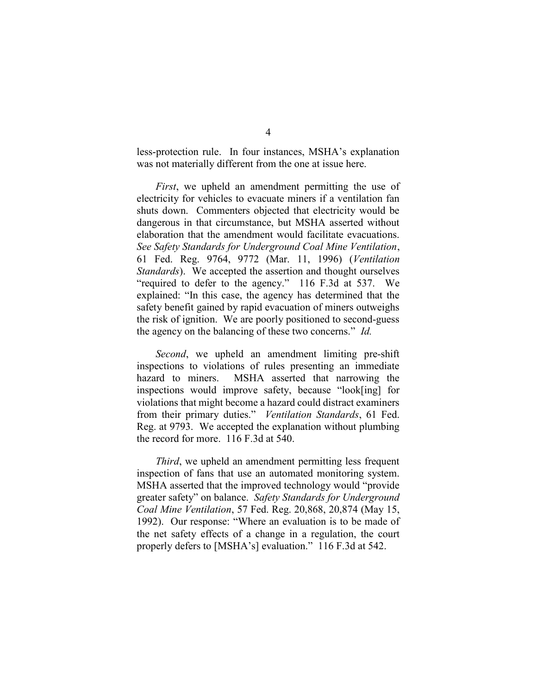less-protection rule. In four instances, MSHA's explanation was not materially different from the one at issue here.

First, we upheld an amendment permitting the use of electricity for vehicles to evacuate miners if a ventilation fan shuts down. Commenters objected that electricity would be dangerous in that circumstance, but MSHA asserted without elaboration that the amendment would facilitate evacuations. See Safety Standards for Underground Coal Mine Ventilation, 61 Fed. Reg. 9764, 9772 (Mar. 11, 1996) (Ventilation Standards). We accepted the assertion and thought ourselves "required to defer to the agency." 116 F.3d at 537. We explained: "In this case, the agency has determined that the safety benefit gained by rapid evacuation of miners outweighs the risk of ignition. We are poorly positioned to second-guess the agency on the balancing of these two concerns." Id.

Second, we upheld an amendment limiting pre-shift inspections to violations of rules presenting an immediate hazard to miners. MSHA asserted that narrowing the inspections would improve safety, because "look[ing] for violations that might become a hazard could distract examiners from their primary duties." Ventilation Standards, 61 Fed. Reg. at 9793. We accepted the explanation without plumbing the record for more. 116 F.3d at 540.

Third, we upheld an amendment permitting less frequent inspection of fans that use an automated monitoring system. MSHA asserted that the improved technology would "provide greater safety" on balance. Safety Standards for Underground Coal Mine Ventilation, 57 Fed. Reg. 20,868, 20,874 (May 15, 1992). Our response: "Where an evaluation is to be made of the net safety effects of a change in a regulation, the court properly defers to [MSHA's] evaluation." 116 F.3d at 542.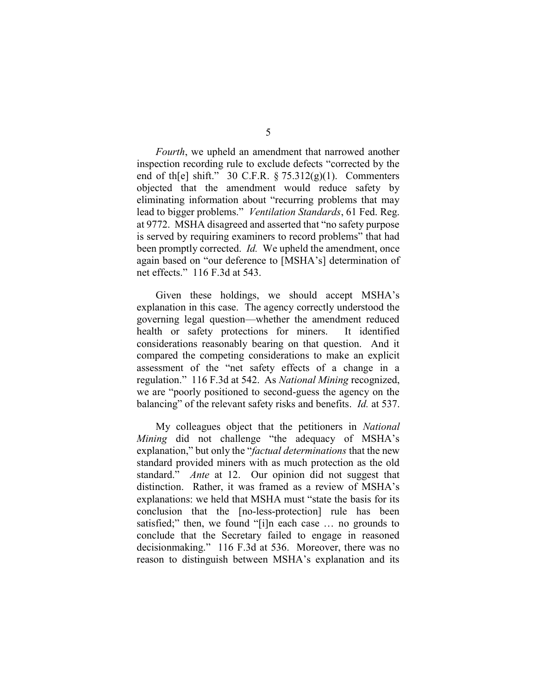Fourth, we upheld an amendment that narrowed another inspection recording rule to exclude defects "corrected by the end of th[e] shift." 30 C.F.R. § 75.312(g)(1). Commenters objected that the amendment would reduce safety by eliminating information about "recurring problems that may lead to bigger problems." Ventilation Standards, 61 Fed. Reg. at 9772. MSHA disagreed and asserted that "no safety purpose is served by requiring examiners to record problems" that had been promptly corrected. *Id*. We upheld the amendment, once again based on "our deference to [MSHA's] determination of net effects." 116 F.3d at 543.

Given these holdings, we should accept MSHA's explanation in this case. The agency correctly understood the governing legal question—whether the amendment reduced health or safety protections for miners. It identified considerations reasonably bearing on that question. And it compared the competing considerations to make an explicit assessment of the "net safety effects of a change in a regulation." 116 F.3d at 542. As National Mining recognized, we are "poorly positioned to second-guess the agency on the balancing" of the relevant safety risks and benefits. Id. at 537.

My colleagues object that the petitioners in National Mining did not challenge "the adequacy of MSHA's explanation," but only the "*factual determinations* that the new standard provided miners with as much protection as the old standard." Ante at 12. Our opinion did not suggest that distinction. Rather, it was framed as a review of MSHA's explanations: we held that MSHA must "state the basis for its conclusion that the [no-less-protection] rule has been satisfied;" then, we found "[i]n each case … no grounds to conclude that the Secretary failed to engage in reasoned decisionmaking." 116 F.3d at 536. Moreover, there was no reason to distinguish between MSHA's explanation and its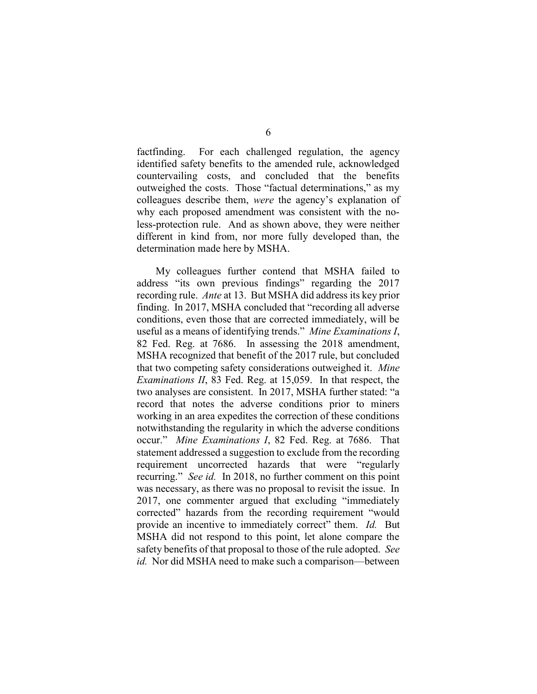factfinding. For each challenged regulation, the agency identified safety benefits to the amended rule, acknowledged countervailing costs, and concluded that the benefits outweighed the costs. Those "factual determinations," as my colleagues describe them, were the agency's explanation of why each proposed amendment was consistent with the noless-protection rule. And as shown above, they were neither different in kind from, nor more fully developed than, the determination made here by MSHA.

My colleagues further contend that MSHA failed to address "its own previous findings" regarding the 2017 recording rule. Ante at 13. But MSHA did address its key prior finding. In 2017, MSHA concluded that "recording all adverse conditions, even those that are corrected immediately, will be useful as a means of identifying trends." Mine Examinations I, 82 Fed. Reg. at 7686. In assessing the 2018 amendment, MSHA recognized that benefit of the 2017 rule, but concluded that two competing safety considerations outweighed it. Mine Examinations II, 83 Fed. Reg. at 15,059. In that respect, the two analyses are consistent. In 2017, MSHA further stated: "a record that notes the adverse conditions prior to miners working in an area expedites the correction of these conditions notwithstanding the regularity in which the adverse conditions occur." Mine Examinations I, 82 Fed. Reg. at 7686. That statement addressed a suggestion to exclude from the recording requirement uncorrected hazards that were "regularly recurring." See id. In 2018, no further comment on this point was necessary, as there was no proposal to revisit the issue. In 2017, one commenter argued that excluding "immediately corrected" hazards from the recording requirement "would provide an incentive to immediately correct" them. *Id.* But MSHA did not respond to this point, let alone compare the safety benefits of that proposal to those of the rule adopted. See id. Nor did MSHA need to make such a comparison—between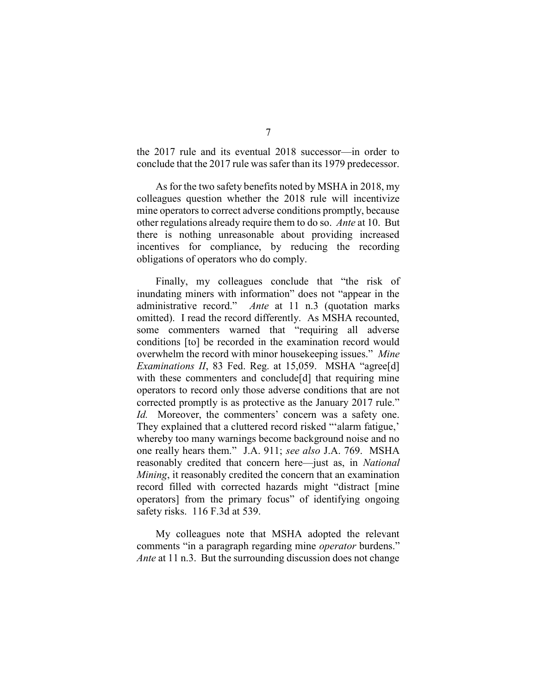the 2017 rule and its eventual 2018 successor—in order to conclude that the 2017 rule was safer than its 1979 predecessor.

As for the two safety benefits noted by MSHA in 2018, my colleagues question whether the 2018 rule will incentivize mine operators to correct adverse conditions promptly, because other regulations already require them to do so. Ante at 10. But there is nothing unreasonable about providing increased incentives for compliance, by reducing the recording obligations of operators who do comply.

Finally, my colleagues conclude that "the risk of inundating miners with information" does not "appear in the administrative record." Ante at 11 n.3 (quotation marks omitted). I read the record differently. As MSHA recounted, some commenters warned that "requiring all adverse conditions [to] be recorded in the examination record would overwhelm the record with minor housekeeping issues." Mine Examinations II, 83 Fed. Reg. at 15,059. MSHA "agree[d] with these commenters and conclude<sup>[d]</sup> that requiring mine operators to record only those adverse conditions that are not corrected promptly is as protective as the January 2017 rule." Id. Moreover, the commenters' concern was a safety one. They explained that a cluttered record risked "'alarm fatigue,' whereby too many warnings become background noise and no one really hears them." J.A. 911; see also J.A. 769. MSHA reasonably credited that concern here—just as, in National Mining, it reasonably credited the concern that an examination record filled with corrected hazards might "distract [mine operators] from the primary focus" of identifying ongoing safety risks. 116 F.3d at 539.

My colleagues note that MSHA adopted the relevant comments "in a paragraph regarding mine *operator* burdens." Ante at 11 n.3. But the surrounding discussion does not change